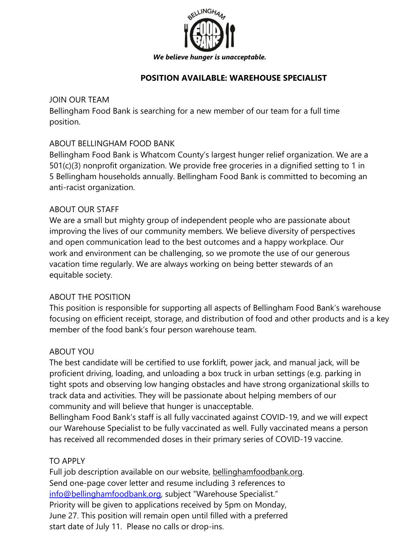

## **POSITION AVAILABLE: WAREHOUSE SPECIALIST**

## JOIN OUR TEAM

Bellingham Food Bank is searching for a new member of our team for a full time position.

# ABOUT BELLINGHAM FOOD BANK

Bellingham Food Bank is Whatcom County's largest hunger relief organization. We are a 501(c)(3) nonprofit organization. We provide free groceries in a dignified setting to 1 in 5 Bellingham households annually. Bellingham Food Bank is committed to becoming an anti-racist organization.

## ABOUT OUR STAFF

We are a small but mighty group of independent people who are passionate about improving the lives of our community members. We believe diversity of perspectives and open communication lead to the best outcomes and a happy workplace. Our work and environment can be challenging, so we promote the use of our generous vacation time regularly. We are always working on being better stewards of an equitable society.

## ABOUT THE POSITION

This position is responsible for supporting all aspects of Bellingham Food Bank's warehouse focusing on efficient receipt, storage, and distribution of food and other products and is a key member of the food bank's four person warehouse team.

## ABOUT YOU

The best candidate will be certified to use forklift, power jack, and manual jack, will be proficient driving, loading, and unloading a box truck in urban settings (e.g. parking in tight spots and observing low hanging obstacles and have strong organizational skills to track data and activities. They will be passionate about helping members of our community and will believe that hunger is unacceptable.

Bellingham Food Bank's staff is all fully vaccinated against COVID-19, and we will expect our Warehouse Specialist to be fully vaccinated as well. Fully vaccinated means a person has received all recommended doses in their primary series of COVID-19 vaccine.

# TO APPLY

Full job description available on our website, bellinghamfoodbank.org. Send one-page cover letter and resume including 3 references to [info@bellinghamfoodbank.org, s](mailto:info@bellinghamfoodbank.org)ubject "Warehouse Specialist." Priority will be given to applications received by 5pm on Monday, June 27. This position will remain open until filled with a preferred start date of July 11. Please no calls or drop-ins.